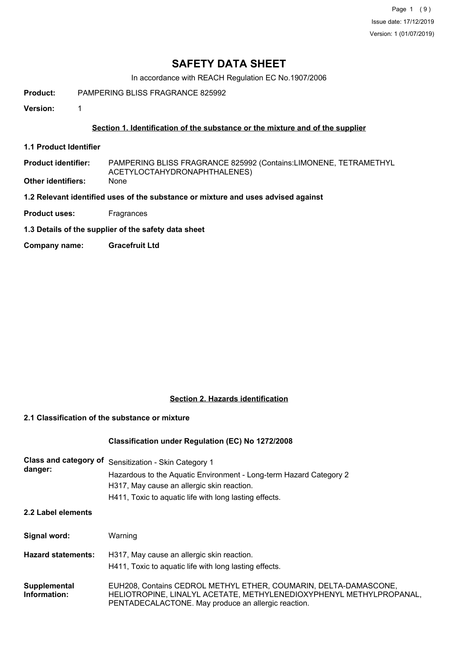Page 1 (9) Issue date: 17/12/2019 Version: 1 (01/07/2019)

## **SAFETY DATA SHEET**

In accordance with REACH Regulation EC No.1907/2006

**Product:** PAMPERING BLISS FRAGRANCE 825992

**Version:** 1

### **Section 1. Identification of the substance or the mixture and of the supplier**

**1.1 Product Identifier**

PAMPERING BLISS FRAGRANCE 825992 (Contains:LIMONENE, TETRAMETHYL ACETYLOCTAHYDRONAPHTHALENES) **Product identifier:**

**Other identifiers:** None

**1.2 Relevant identified uses of the substance or mixture and uses advised against**

- **Product uses:** Fragrances
- **1.3 Details of the supplier of the safety data sheet**
- **Company name: Gracefruit Ltd**

### **Section 2. Hazards identification**

## **2.1 Classification of the substance or mixture**

#### **Classification under Regulation (EC) No 1272/2008**

| Class and category of<br>danger: | Sensitization - Skin Category 1<br>Hazardous to the Aquatic Environment - Long-term Hazard Category 2<br>H317, May cause an allergic skin reaction.<br>H411, Toxic to aquatic life with long lasting effects. |
|----------------------------------|---------------------------------------------------------------------------------------------------------------------------------------------------------------------------------------------------------------|
| 2.2 Label elements               |                                                                                                                                                                                                               |
| Signal word:                     | Warning                                                                                                                                                                                                       |
| <b>Hazard statements:</b>        | H317, May cause an allergic skin reaction.<br>H411, Toxic to aquatic life with long lasting effects.                                                                                                          |
| Supplemental<br>Information:     | EUH208, Contains CEDROL METHYL ETHER, COUMARIN, DELTA-DAMASCONE,<br>HELIOTROPINE, LINALYL ACETATE, METHYLENEDIOXYPHENYL METHYLPROPANAL,<br>PENTADECALACTONE. May produce an allergic reaction.                |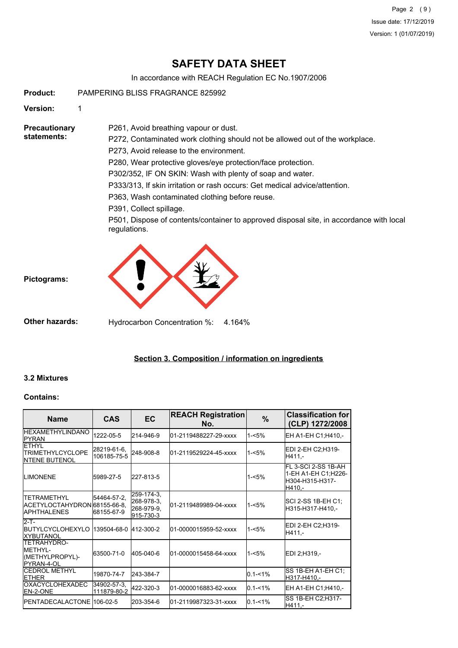Page 2 (9) Issue date: 17/12/2019 Version: 1 (01/07/2019)

# **SAFETY DATA SHEET**

In accordance with REACH Regulation EC No.1907/2006

**Product:** PAMPERING BLISS FRAGRANCE 825992

**Version:** 1

**Precautionary statements:**

P272, Contaminated work clothing should not be allowed out of the workplace. P273, Avoid release to the environment. P280, Wear protective gloves/eye protection/face protection.

P302/352, IF ON SKIN: Wash with plenty of soap and water.

P333/313, If skin irritation or rash occurs: Get medical advice/attention.

P363, Wash contaminated clothing before reuse.

P391, Collect spillage.

P501, Dispose of contents/container to approved disposal site, in accordance with local regulations.



P261, Avoid breathing vapour or dust.

**Other hazards:** Hydrocarbon Concentration %: 4.164%

#### **Section 3. Composition / information on ingredients**

#### **3.2 Mixtures**

**Pictograms:**

#### **Contains:**

| <b>Name</b>                                                                     | <b>CAS</b>                 | EC                                                  | <b>REACH Registration</b><br>No. | $\%$        | <b>Classification for</b><br>(CLP) 1272/2008                            |
|---------------------------------------------------------------------------------|----------------------------|-----------------------------------------------------|----------------------------------|-------------|-------------------------------------------------------------------------|
| <b>IHEXAMETHYLINDANO</b><br><b>IPYRAN</b>                                       | 1222-05-5                  | 214-946-9                                           | 01-2119488227-29-xxxx            | $1 - 5%$    | EH A1-EH C1;H410,-                                                      |
| <b>ETHYL</b><br><b>ITRIMETHYLCYCLOPE</b><br><b>INTENE BUTENOL</b>               | 28219-61-6,<br>106185-75-5 | 248-908-8                                           | 01-2119529224-45-xxxx            | $1 - 5%$    | EDI 2-EH C2;H319-<br>H411.-                                             |
| <b>LIMONENE</b>                                                                 | 5989-27-5                  | 227-813-5                                           |                                  | $1 - 5%$    | FL 3-SCI 2-SS 1B-AH<br>1-EH A1-EH C1;H226-<br>H304-H315-H317-<br>H410.- |
| <b>ITETRAMETHYL</b><br>ACETYLOCTAHYDRON 68155-66-8.<br><b>IAPHTHALENES</b>      | 54464-57-2.<br>68155-67-9  | 259-174-3,<br>268-978-3,<br>268-979-9,<br>915-730-3 | 01-2119489989-04-xxxx            | $1 - 5%$    | SCI 2-SS 1B-EH C1;<br>H315-H317-H410,-                                  |
| $2-T$ -<br><b>IBUTYLCYCLOHEXYLO</b><br>IXYBUTANOL                               | 139504-68-0 412-300-2      |                                                     | 01-0000015959-52-xxxx            | $1 - 5%$    | EDI 2-EH C2:H319-<br>H411.-                                             |
| <b>ITETRAHYDRO-</b><br><b>IMETHYL-</b><br>(METHYLPROPYL)-<br><b>IPYRAN-4-OL</b> | 63500-71-0                 | 405-040-6                                           | 01-0000015458-64-xxxx            | $1 - 5%$    | EDI 2;H319,-                                                            |
| <b>ICEDROL METHYL</b><br><b>ETHER</b>                                           | 19870-74-7                 | 243-384-7                                           |                                  | $0.1 - 1%$  | SS 1B-EH A1-EH C1:<br>H317-H410,-                                       |
| <b>IOXACYCLOHEXADEC</b><br><b>IEN-2-ONE</b>                                     | 34902-57-3.<br>111879-80-2 | 422-320-3                                           | 01-0000016883-62-xxxx            | $0.1 - 1\%$ | EH A1-EH C1;H410,-                                                      |
| <b>IPENTADECALACTONE 106-02-5</b>                                               |                            | 203-354-6                                           | 01-2119987323-31-xxxx            | $0.1 - 1\%$ | SS 1B-EH C2; H317-<br>H411,-                                            |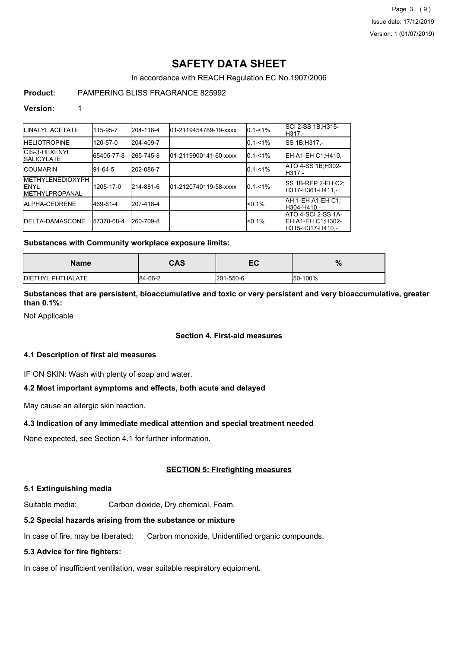Page 3 (9) Issue date: 17/12/2019 Version: 1 (01/07/2019)

# **SAFETY DATA SHEET**

In accordance with REACH Regulation EC No.1907/2006

## **Product:** PAMPERING BLISS FRAGRANCE 825992

### **Version:** 1

| <b>ILINALYL ACETATE</b>                                            | 115-95-7   | 204-116-4 | 01-2119454789-19-xxxx | $0.1 - 1\%$ | <b>ISCI 2-SS 1B:H315-</b><br>IH317.-                           |
|--------------------------------------------------------------------|------------|-----------|-----------------------|-------------|----------------------------------------------------------------|
| <b>HELIOTROPINE</b>                                                | 120-57-0   | 204-409-7 |                       | $0.1 - 1\%$ | <b>SS 1B:H317.-</b>                                            |
| CIS-3-HEXENYL<br><b>ISALICYLATE</b>                                | 65405-77-8 | 265-745-8 | 01-2119900141-60-xxxx | $0.1 - 1\%$ | <b>IEH A1-EH C1:H410.-</b>                                     |
| <b>ICOUMARIN</b>                                                   | 91-64-5    | 202-086-7 |                       | $0.1 - 1\%$ | ATO 4-SS 1B; H302-<br>IH317.-                                  |
| <b>IMETHYLENEDIOXYPH</b><br><b>IENYL</b><br><b>IMETHYLPROPANAL</b> | 1205-17-0  | 214-881-6 | 01-2120740119-58-xxxx | $0.1 - 1\%$ | ISS 1B-REP 2-EH C2:<br>IH317-H361-H411.-                       |
| <b>IALPHA-CEDRENE</b>                                              | 469-61-4   | 207-418-4 |                       | $< 0.1\%$   | IAH 1-EH A1-EH C1:<br>H304-H410.-                              |
| <b>IDELTA-DAMASCONE</b>                                            | 57378-68-4 | 260-709-8 |                       | $< 0.1\%$   | IATO 4-SCI 2-SS 1A-<br>EH A1-EH C1; H302-<br>IH315-H317-H410.- |

### **Substances with Community workplace exposure limits:**

| <b>Name</b>               | CAS     | -0<br>c c | $\mathbf{0}$<br>70 |
|---------------------------|---------|-----------|--------------------|
| <b>IDIETHYL PHTHALATE</b> | 84-66-2 | 201-550-6 | 50-100%            |

## **Substances that are persistent, bioaccumulative and toxic or very persistent and very bioaccumulative, greater than 0.1%:**

Not Applicable

## **Section 4. First-aid measures**

### **4.1 Description of first aid measures**

IF ON SKIN: Wash with plenty of soap and water.

## **4.2 Most important symptoms and effects, both acute and delayed**

May cause an allergic skin reaction.

#### **4.3 Indication of any immediate medical attention and special treatment needed**

None expected, see Section 4.1 for further information.

## **SECTION 5: Firefighting measures**

## **5.1 Extinguishing media**

Suitable media: Carbon dioxide, Dry chemical, Foam.

## **5.2 Special hazards arising from the substance or mixture**

In case of fire, may be liberated: Carbon monoxide, Unidentified organic compounds.

## **5.3 Advice for fire fighters:**

In case of insufficient ventilation, wear suitable respiratory equipment.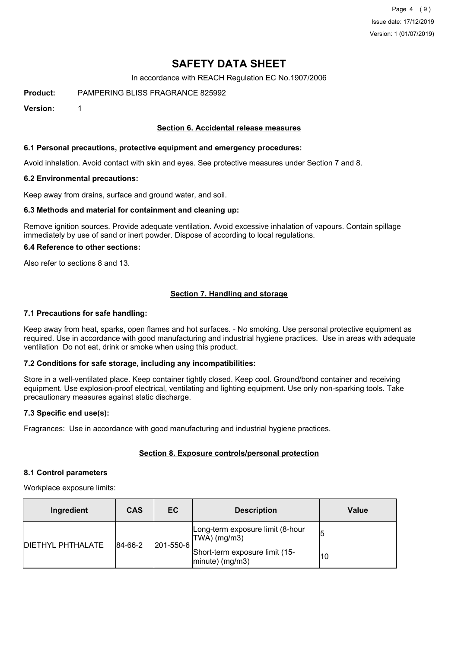Page 4 (9) Issue date: 17/12/2019 Version: 1 (01/07/2019)

## **SAFETY DATA SHEET**

In accordance with REACH Regulation EC No.1907/2006

**Product:** PAMPERING BLISS FRAGRANCE 825992

**Version:** 1

#### **Section 6. Accidental release measures**

#### **6.1 Personal precautions, protective equipment and emergency procedures:**

Avoid inhalation. Avoid contact with skin and eyes. See protective measures under Section 7 and 8.

#### **6.2 Environmental precautions:**

Keep away from drains, surface and ground water, and soil.

#### **6.3 Methods and material for containment and cleaning up:**

Remove ignition sources. Provide adequate ventilation. Avoid excessive inhalation of vapours. Contain spillage immediately by use of sand or inert powder. Dispose of according to local regulations.

#### **6.4 Reference to other sections:**

Also refer to sections 8 and 13.

## **Section 7. Handling and storage**

#### **7.1 Precautions for safe handling:**

Keep away from heat, sparks, open flames and hot surfaces. - No smoking. Use personal protective equipment as required. Use in accordance with good manufacturing and industrial hygiene practices. Use in areas with adequate ventilation Do not eat, drink or smoke when using this product.

#### **7.2 Conditions for safe storage, including any incompatibilities:**

Store in a well-ventilated place. Keep container tightly closed. Keep cool. Ground/bond container and receiving equipment. Use explosion-proof electrical, ventilating and lighting equipment. Use only non-sparking tools. Take precautionary measures against static discharge.

#### **7.3 Specific end use(s):**

Fragrances: Use in accordance with good manufacturing and industrial hygiene practices.

#### **Section 8. Exposure controls/personal protection**

#### **8.1 Control parameters**

Workplace exposure limits:

| Ingredient               | <b>CAS</b> | EC                | <b>Description</b>                                   | Value |
|--------------------------|------------|-------------------|------------------------------------------------------|-------|
|                          | 84-66-2    | $ 201 - 550 - 6 $ | Long-term exposure limit (8-hour<br>TWA) (mg/m3)     |       |
| <b>DIETHYL PHTHALATE</b> |            |                   | Short-term exposure limit (15-<br>$ minute)$ (mg/m3) | 10    |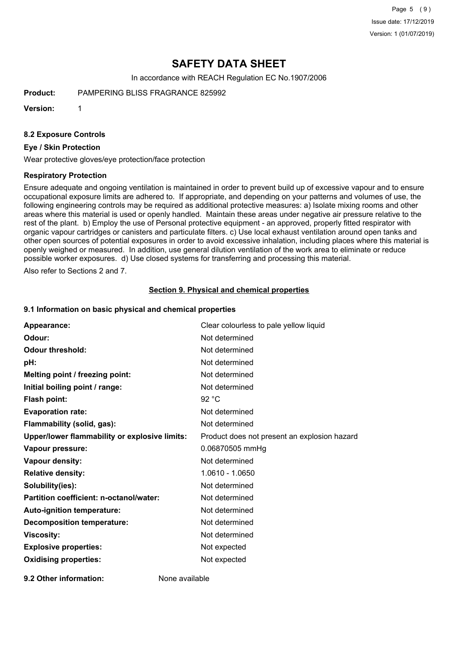Page 5 (9) Issue date: 17/12/2019 Version: 1 (01/07/2019)

# **SAFETY DATA SHEET**

In accordance with REACH Regulation EC No.1907/2006

**Product:** PAMPERING BLISS FRAGRANCE 825992

**Version:** 1

#### **8.2 Exposure Controls**

#### **Eye / Skin Protection**

Wear protective gloves/eye protection/face protection

#### **Respiratory Protection**

Ensure adequate and ongoing ventilation is maintained in order to prevent build up of excessive vapour and to ensure occupational exposure limits are adhered to. If appropriate, and depending on your patterns and volumes of use, the following engineering controls may be required as additional protective measures: a) Isolate mixing rooms and other areas where this material is used or openly handled. Maintain these areas under negative air pressure relative to the rest of the plant. b) Employ the use of Personal protective equipment - an approved, properly fitted respirator with organic vapour cartridges or canisters and particulate filters. c) Use local exhaust ventilation around open tanks and other open sources of potential exposures in order to avoid excessive inhalation, including places where this material is openly weighed or measured. In addition, use general dilution ventilation of the work area to eliminate or reduce possible worker exposures. d) Use closed systems for transferring and processing this material.

Also refer to Sections 2 and 7.

#### **Section 9. Physical and chemical properties**

#### **9.1 Information on basic physical and chemical properties**

| Appearance:                                   | Clear colourless to pale yellow liquid       |
|-----------------------------------------------|----------------------------------------------|
| Odour:                                        | Not determined                               |
| <b>Odour threshold:</b>                       | Not determined                               |
| pH:                                           | Not determined                               |
| Melting point / freezing point:               | Not determined                               |
| Initial boiling point / range:                | Not determined                               |
| <b>Flash point:</b>                           | 92 °C                                        |
| <b>Evaporation rate:</b>                      | Not determined                               |
| Flammability (solid, gas):                    | Not determined                               |
| Upper/lower flammability or explosive limits: | Product does not present an explosion hazard |
| Vapour pressure:                              | 0.06870505 mmHg                              |
| <b>Vapour density:</b>                        | Not determined                               |
| <b>Relative density:</b>                      | 1.0610 - 1.0650                              |
| Solubility(ies):                              | Not determined                               |
| Partition coefficient: n-octanol/water:       | Not determined                               |
| Auto-ignition temperature:                    | Not determined                               |
| <b>Decomposition temperature:</b>             | Not determined                               |
| <b>Viscosity:</b>                             | Not determined                               |
| <b>Explosive properties:</b>                  | Not expected                                 |
| <b>Oxidising properties:</b>                  | Not expected                                 |
|                                               |                                              |

**9.2 Other information:** None available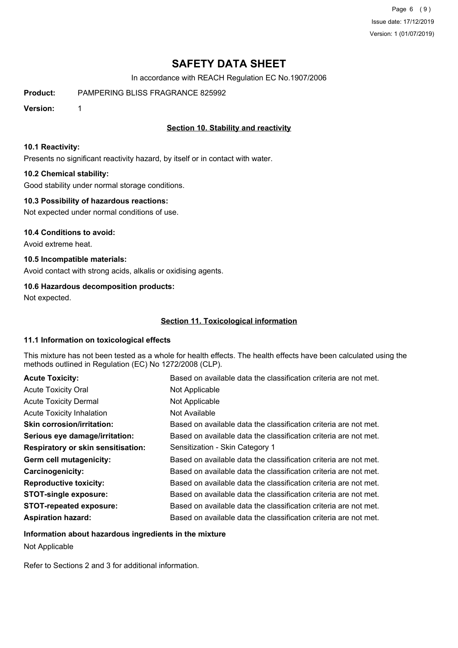Page 6 (9) Issue date: 17/12/2019 Version: 1 (01/07/2019)

# **SAFETY DATA SHEET**

In accordance with REACH Regulation EC No.1907/2006

**Product:** PAMPERING BLISS FRAGRANCE 825992

**Version:** 1

## **Section 10. Stability and reactivity**

#### **10.1 Reactivity:**

Presents no significant reactivity hazard, by itself or in contact with water.

#### **10.2 Chemical stability:**

Good stability under normal storage conditions.

#### **10.3 Possibility of hazardous reactions:**

Not expected under normal conditions of use.

#### **10.4 Conditions to avoid:**

Avoid extreme heat.

## **10.5 Incompatible materials:**

Avoid contact with strong acids, alkalis or oxidising agents.

### **10.6 Hazardous decomposition products:**

Not expected.

## **Section 11. Toxicological information**

#### **11.1 Information on toxicological effects**

This mixture has not been tested as a whole for health effects. The health effects have been calculated using the methods outlined in Regulation (EC) No 1272/2008 (CLP).

| <b>Acute Toxicity:</b>                    | Based on available data the classification criteria are not met. |
|-------------------------------------------|------------------------------------------------------------------|
| <b>Acute Toxicity Oral</b>                | Not Applicable                                                   |
| <b>Acute Toxicity Dermal</b>              | Not Applicable                                                   |
| <b>Acute Toxicity Inhalation</b>          | Not Available                                                    |
| <b>Skin corrosion/irritation:</b>         | Based on available data the classification criteria are not met. |
| Serious eye damage/irritation:            | Based on available data the classification criteria are not met. |
| <b>Respiratory or skin sensitisation:</b> | Sensitization - Skin Category 1                                  |
| Germ cell mutagenicity:                   | Based on available data the classification criteria are not met. |
| Carcinogenicity:                          | Based on available data the classification criteria are not met. |
| <b>Reproductive toxicity:</b>             | Based on available data the classification criteria are not met. |
| <b>STOT-single exposure:</b>              | Based on available data the classification criteria are not met. |
| <b>STOT-repeated exposure:</b>            | Based on available data the classification criteria are not met. |
| <b>Aspiration hazard:</b>                 | Based on available data the classification criteria are not met. |

#### **Information about hazardous ingredients in the mixture**

Not Applicable

Refer to Sections 2 and 3 for additional information.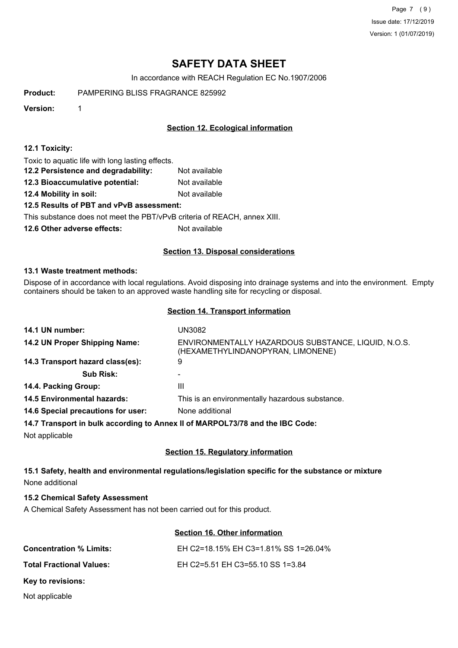Page 7 (9) Issue date: 17/12/2019 Version: 1 (01/07/2019)

# **SAFETY DATA SHEET**

In accordance with REACH Regulation EC No.1907/2006

**Product:** PAMPERING BLISS FRAGRANCE 825992

**Version:** 1

## **Section 12. Ecological information**

#### **12.1 Toxicity:**

Toxic to aquatic life with long lasting effects.

**12.2 Persistence and degradability:** Not available

**12.3 Bioaccumulative potential:** Not available

**12.4 Mobility in soil:** Not available

#### **12.5 Results of PBT and vPvB assessment:**

This substance does not meet the PBT/vPvB criteria of REACH, annex XIII.

**12.6 Other adverse effects:** Not available

### **Section 13. Disposal considerations**

#### **13.1 Waste treatment methods:**

Dispose of in accordance with local regulations. Avoid disposing into drainage systems and into the environment. Empty containers should be taken to an approved waste handling site for recycling or disposal.

#### **Section 14. Transport information**

| 14.1 UN number:                                                               | UN3082                                                                                   |  |
|-------------------------------------------------------------------------------|------------------------------------------------------------------------------------------|--|
| 14.2 UN Proper Shipping Name:                                                 | ENVIRONMENTALLY HAZARDOUS SUBSTANCE, LIQUID, N.O.S.<br>(HEXAMETHYLINDANOPYRAN, LIMONENE) |  |
| 14.3 Transport hazard class(es):                                              | 9                                                                                        |  |
| <b>Sub Risk:</b>                                                              |                                                                                          |  |
| 14.4. Packing Group:                                                          | Ш                                                                                        |  |
| <b>14.5 Environmental hazards:</b>                                            | This is an environmentally hazardous substance.                                          |  |
| 14.6 Special precautions for user:                                            | None additional                                                                          |  |
| 14.7 Transport in bulk according to Annex II of MARPOL73/78 and the IBC Code: |                                                                                          |  |

Not applicable

## **Section 15. Regulatory information**

## **15.1 Safety, health and environmental regulations/legislation specific for the substance or mixture** None additional

#### **15.2 Chemical Safety Assessment**

A Chemical Safety Assessment has not been carried out for this product.

#### **Section 16. Other information**

| <b>Concentration % Limits:</b>  | EH C2=18.15% EH C3=1.81% SS 1=26.04% |
|---------------------------------|--------------------------------------|
| <b>Total Fractional Values:</b> | EH C2=5.51 EH C3=55.10 SS 1=3.84     |
| Key to revisions:               |                                      |

Not applicable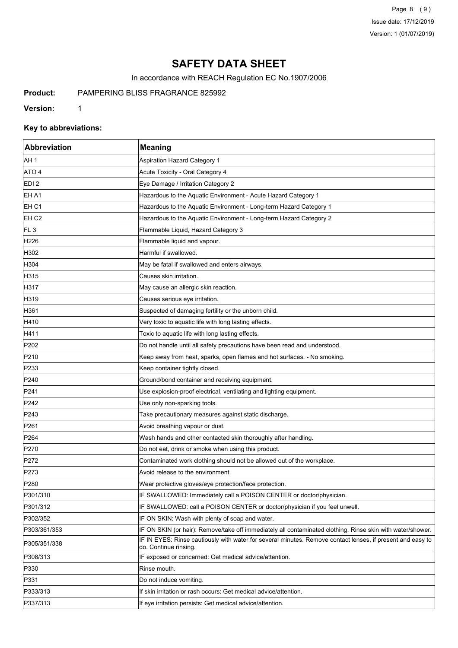Page 8 (9) Issue date: 17/12/2019 Version: 1 (01/07/2019)

# **SAFETY DATA SHEET**

In accordance with REACH Regulation EC No.1907/2006

**Product:** PAMPERING BLISS FRAGRANCE 825992

**Version:** 1

## **Key to abbreviations:**

| <b>Abbreviation</b> | <b>Meaning</b>                                                                                                                      |
|---------------------|-------------------------------------------------------------------------------------------------------------------------------------|
| AH <sub>1</sub>     | <b>Aspiration Hazard Category 1</b>                                                                                                 |
| ATO 4               | Acute Toxicity - Oral Category 4                                                                                                    |
| EDI <sub>2</sub>    | Eye Damage / Irritation Category 2                                                                                                  |
| EH A1               | Hazardous to the Aquatic Environment - Acute Hazard Category 1                                                                      |
| EH C1               | Hazardous to the Aquatic Environment - Long-term Hazard Category 1                                                                  |
| EH C <sub>2</sub>   | Hazardous to the Aquatic Environment - Long-term Hazard Category 2                                                                  |
| FL <sub>3</sub>     | Flammable Liquid, Hazard Category 3                                                                                                 |
| H226                | Flammable liquid and vapour.                                                                                                        |
| H302                | Harmful if swallowed.                                                                                                               |
| H304                | May be fatal if swallowed and enters airways.                                                                                       |
| H315                | Causes skin irritation.                                                                                                             |
| H317                | May cause an allergic skin reaction.                                                                                                |
| H319                | Causes serious eye irritation.                                                                                                      |
| H361                | Suspected of damaging fertility or the unborn child.                                                                                |
| H410                | Very toxic to aquatic life with long lasting effects.                                                                               |
| H411                | Toxic to aquatic life with long lasting effects.                                                                                    |
| P202                | Do not handle until all safety precautions have been read and understood.                                                           |
| P210                | Keep away from heat, sparks, open flames and hot surfaces. - No smoking.                                                            |
| P233                | Keep container tightly closed.                                                                                                      |
| P240                | Ground/bond container and receiving equipment.                                                                                      |
| P241                | Use explosion-proof electrical, ventilating and lighting equipment.                                                                 |
| P242                | Use only non-sparking tools.                                                                                                        |
| P243                | Take precautionary measures against static discharge.                                                                               |
| P261                | Avoid breathing vapour or dust.                                                                                                     |
| P264                | Wash hands and other contacted skin thoroughly after handling.                                                                      |
| P270                | Do not eat, drink or smoke when using this product.                                                                                 |
| P272                | Contaminated work clothing should not be allowed out of the workplace.                                                              |
| P273                | Avoid release to the environment.                                                                                                   |
| P <sub>280</sub>    | Wear protective gloves/eye protection/face protection.                                                                              |
| P301/310            | IF SWALLOWED: Immediately call a POISON CENTER or doctor/physician.                                                                 |
| P301/312            | IF SWALLOWED: call a POISON CENTER or doctor/physician if you feel unwell.                                                          |
| P302/352            | IF ON SKIN: Wash with plenty of soap and water.                                                                                     |
| P303/361/353        | IF ON SKIN (or hair): Remove/take off immediately all contaminated clothing. Rinse skin with water/shower.                          |
| P305/351/338        | IF IN EYES: Rinse cautiously with water for several minutes. Remove contact lenses, if present and easy to<br>do. Continue rinsing. |
| P308/313            | IF exposed or concerned: Get medical advice/attention.                                                                              |
| P330                | Rinse mouth.                                                                                                                        |
| P331                | Do not induce vomiting.                                                                                                             |
| P333/313            | If skin irritation or rash occurs: Get medical advice/attention.                                                                    |
| P337/313            | If eye irritation persists: Get medical advice/attention.                                                                           |